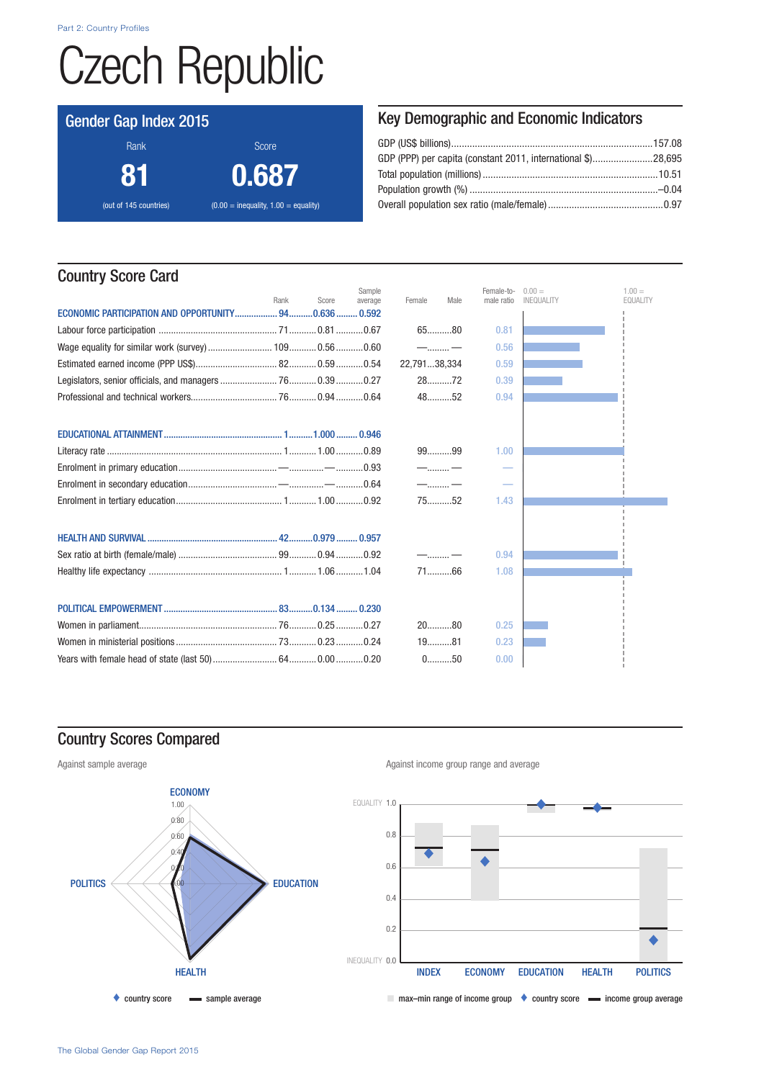Part 2: Country Profiles

# Czech Republic

## Gender Gap Index 2015

Rank Score Score 81 0.687 (out of 145 countries)  $(0.00 = \text{inequality}, 1.00 = \text{equality})$  Key Demographic and Economic Indicators

# Country Score Card

|                                                      | Rank | Score | Sample<br>average | Female       | Male       | Female-to-<br>male ratio | $0.00 =$<br>INEQUALITY | $1.00 =$<br><b>EQUALITY</b> |
|------------------------------------------------------|------|-------|-------------------|--------------|------------|--------------------------|------------------------|-----------------------------|
| ECONOMIC PARTICIPATION AND OPPORTUNITY 940.636 0.592 |      |       |                   |              |            |                          |                        |                             |
|                                                      |      |       |                   |              | $65$ 80    | 0.81                     |                        |                             |
|                                                      |      |       |                   |              | $-$ –      | 0.56                     |                        |                             |
|                                                      |      |       |                   | 22,79138,334 |            | 0.59                     |                        |                             |
|                                                      |      |       |                   |              | $28$ 72    | 0.39                     |                        |                             |
|                                                      |      |       |                   |              | 4852       | 0.94                     |                        |                             |
|                                                      |      |       |                   |              |            |                          |                        |                             |
|                                                      |      |       |                   |              |            |                          |                        |                             |
|                                                      |      |       |                   |              | 9999       | 1.00                     |                        |                             |
|                                                      |      |       |                   |              | $-\dots-\$ |                          |                        |                             |
|                                                      |      |       |                   |              | $-\dots-\$ |                          |                        |                             |
|                                                      |      |       |                   |              | $75$ 52    | 1.43                     |                        |                             |
|                                                      |      |       |                   |              |            |                          |                        |                             |
|                                                      |      |       |                   |              |            |                          |                        |                             |
|                                                      |      |       |                   | $-\dots-\$   |            | 0.94                     |                        |                             |
|                                                      |      |       |                   |              | $71$ 66    | 1.08                     |                        |                             |
|                                                      |      |       |                   |              |            |                          |                        |                             |
|                                                      |      |       |                   |              |            |                          |                        |                             |
|                                                      |      |       |                   |              | $20$ 80    | 0.25                     |                        |                             |
|                                                      |      |       |                   |              | $19$ 81    | 0.23                     |                        |                             |
|                                                      |      |       |                   |              | $0$ 50     | 0.00                     |                        |                             |

# Country Scores Compared